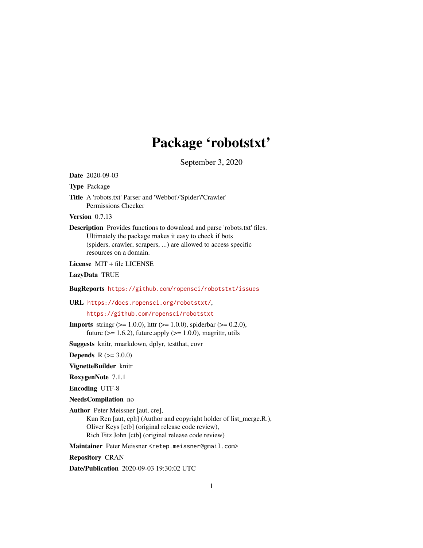# Package 'robotstxt'

September 3, 2020

Date 2020-09-03

Type Package

Title A 'robots.txt' Parser and 'Webbot'/'Spider'/'Crawler' Permissions Checker

Version 0.7.13

Description Provides functions to download and parse 'robots.txt' files. Ultimately the package makes it easy to check if bots (spiders, crawler, scrapers, ...) are allowed to access specific resources on a domain.

License MIT + file LICENSE

LazyData TRUE

BugReports <https://github.com/ropensci/robotstxt/issues>

URL <https://docs.ropensci.org/robotstxt/>,

<https://github.com/ropensci/robotstxt>

**Imports** string  $(>= 1.0.0)$ , httr  $(>= 1.0.0)$ , spiderbar  $(>= 0.2.0)$ , future ( $>= 1.6.2$ ), future.apply ( $>= 1.0.0$ ), magrittr, utils

Suggests knitr, rmarkdown, dplyr, testthat, covr

**Depends** R  $(>= 3.0.0)$ 

VignetteBuilder knitr

RoxygenNote 7.1.1

Encoding UTF-8

NeedsCompilation no

Author Peter Meissner [aut, cre],

Kun Ren [aut, cph] (Author and copyright holder of list\_merge.R.), Oliver Keys [ctb] (original release code review), Rich Fitz John [ctb] (original release code review)

Maintainer Peter Meissner <retep.meissner@gmail.com>

Repository CRAN

Date/Publication 2020-09-03 19:30:02 UTC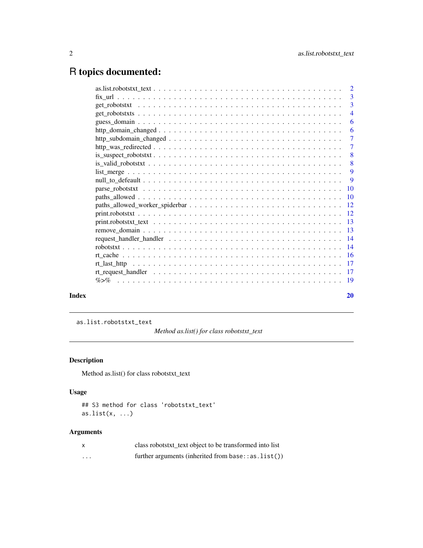## <span id="page-1-0"></span>R topics documented:

| Index |                                                                                                                     | 20             |
|-------|---------------------------------------------------------------------------------------------------------------------|----------------|
|       |                                                                                                                     |                |
|       |                                                                                                                     |                |
|       |                                                                                                                     |                |
|       |                                                                                                                     |                |
|       |                                                                                                                     |                |
|       |                                                                                                                     |                |
|       |                                                                                                                     |                |
|       |                                                                                                                     |                |
|       |                                                                                                                     |                |
|       |                                                                                                                     |                |
|       |                                                                                                                     |                |
|       |                                                                                                                     |                |
|       |                                                                                                                     | $\overline{9}$ |
|       |                                                                                                                     | 9              |
|       |                                                                                                                     |                |
|       | $is\_suspect\_robotstxt \ldots \ldots \ldots \ldots \ldots \ldots \ldots \ldots \ldots \ldots \ldots \ldots \ldots$ | - 8            |
|       |                                                                                                                     | $\overline{7}$ |
|       |                                                                                                                     | -7             |
|       |                                                                                                                     | -6             |
|       |                                                                                                                     | 6              |
|       |                                                                                                                     | $\overline{4}$ |
|       |                                                                                                                     |                |
|       |                                                                                                                     |                |
|       |                                                                                                                     |                |

as.list.robotstxt\_text

*Method as.list() for class robotstxt\_text*

#### Description

Method as.list() for class robotstxt\_text

#### Usage

```
## S3 method for class 'robotstxt_text'
as.list(x, ...)
```

|         | class robotstxt_text object to be transformed into list   |
|---------|-----------------------------------------------------------|
| $\cdot$ | further arguments (inherited from base: $:$ as $list()$ ) |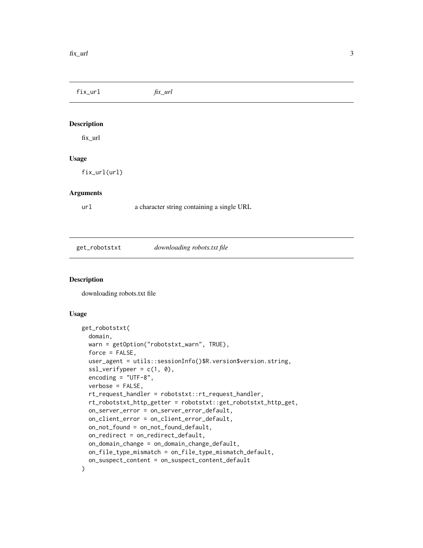<span id="page-2-0"></span>fix\_url *fix\_url* Description fix\_url Usage fix\_url(url) Arguments url a character string containing a single URL get\_robotstxt *downloading robots.txt file*

#### Description

downloading robots.txt file

```
get_robotstxt(
 domain,
 warn = getOption("robotstxt_warn", TRUE),
 force = FALSE,
 user_agent = utils::sessionInfo()$R.version$version.string,
  ssl\_verifypeer = c(1, 0),encoding = "UTF-8",
 verbose = FALSE,
  rt_request_handler = robotstxt::rt_request_handler,
 rt_robotstxt_http_getter = robotstxt::get_robotstxt_http_get,
 on_server_error = on_server_error_default,
 on_client_error = on_client_error_default,
  on_not_found = on_not_found_default,
 on_redirect = on_redirect_default,
 on_domain_change = on_domain_change_default,
 on_file_type_mismatch = on_file_type_mismatch_default,
 on_suspect_content = on_suspect_content_default
)
```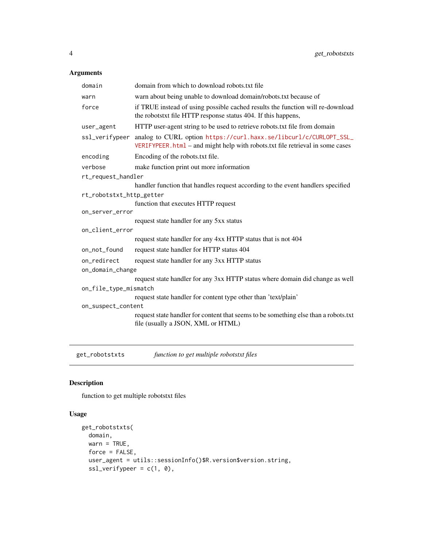#### <span id="page-3-0"></span>Arguments

| domain                   | domain from which to download robots.txt file                                                                                                      |  |
|--------------------------|----------------------------------------------------------------------------------------------------------------------------------------------------|--|
| warn                     | warn about being unable to download domain/robots.txt because of                                                                                   |  |
| force                    | if TRUE instead of using possible cached results the function will re-download<br>the robotstxt file HTTP response status 404. If this happens,    |  |
| user_agent               | HTTP user-agent string to be used to retrieve robots.txt file from domain                                                                          |  |
| ssl_verifypeer           | analog to CURL option https://curl.haxx.se/libcurl/c/CURLOPT_SSL_<br>VERIFYPEER.html - and might help with robots.txt file retrieval in some cases |  |
| encoding                 | Encoding of the robots.txt file.                                                                                                                   |  |
| verbose                  | make function print out more information                                                                                                           |  |
| rt_request_handler       |                                                                                                                                                    |  |
|                          | handler function that handles request according to the event handlers specified                                                                    |  |
| rt_robotstxt_http_getter |                                                                                                                                                    |  |
|                          | function that executes HTTP request                                                                                                                |  |
| on_server_error          |                                                                                                                                                    |  |
|                          | request state handler for any 5xx status                                                                                                           |  |
| on_client_error          |                                                                                                                                                    |  |
|                          | request state handler for any 4xx HTTP status that is not 404                                                                                      |  |
| on_not_found             | request state handler for HTTP status 404                                                                                                          |  |
| on redirect              | request state handler for any 3xx HTTP status                                                                                                      |  |
| on_domain_change         |                                                                                                                                                    |  |
|                          | request state handler for any 3xx HTTP status where domain did change as well                                                                      |  |
| on_file_type_mismatch    |                                                                                                                                                    |  |
|                          | request state handler for content type other than 'text/plain'                                                                                     |  |
| on_suspect_content       |                                                                                                                                                    |  |
|                          | request state handler for content that seems to be something else than a robots.txt<br>file (usually a JSON, XML or HTML)                          |  |

get\_robotstxts *function to get multiple robotstxt files*

#### Description

function to get multiple robotstxt files

```
get_robotstxts(
 domain,
 warn = TRUE,
 force = FALSE,
 user_agent = utils::sessionInfo()$R.version$version.string,
 ssl\_verifypeer = c(1, 0),
```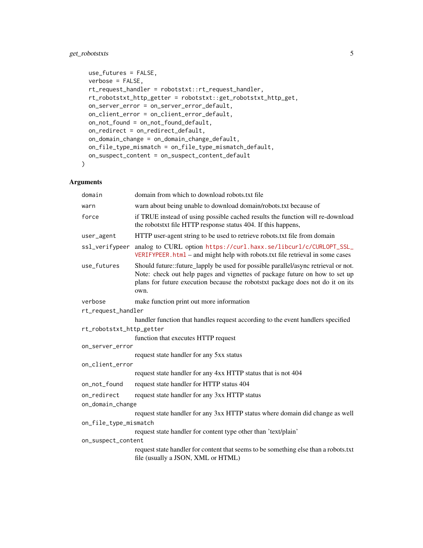### get\_robotstxts 5

```
use_futures = FALSE,
 verbose = FALSE,
 rt_request_handler = robotstxt::rt_request_handler,
 rt_robotstxt_http_getter = robotstxt::get_robotstxt_http_get,
 on_server_error = on_server_error_default,
 on_client_error = on_client_error_default,
 on_not_found = on_not_found_default,
 on_redirect = on_redirect_default,
 on_domain_change = on_domain_change_default,
 on_file_type_mismatch = on_file_type_mismatch_default,
 on_suspect_content = on_suspect_content_default
)
```

| domain                   | domain from which to download robots.txt file                                                                                                                                                                                                               |
|--------------------------|-------------------------------------------------------------------------------------------------------------------------------------------------------------------------------------------------------------------------------------------------------------|
| warn                     | warn about being unable to download domain/robots.txt because of                                                                                                                                                                                            |
| force                    | if TRUE instead of using possible cached results the function will re-download<br>the robotstxt file HTTP response status 404. If this happens,                                                                                                             |
| user_agent               | HTTP user-agent string to be used to retrieve robots.txt file from domain                                                                                                                                                                                   |
| ssl_verifypeer           | analog to CURL option https://curl.haxx.se/libcurl/c/CURLOPT_SSL_<br>VERIFYPEER.html – and might help with robots.txt file retrieval in some cases                                                                                                          |
| use_futures              | Should future::future_lapply be used for possible parallel/async retrieval or not.<br>Note: check out help pages and vignettes of package future on how to set up<br>plans for future execution because the robotstxt package does not do it on its<br>own. |
| verbose                  | make function print out more information                                                                                                                                                                                                                    |
| rt_request_handler       |                                                                                                                                                                                                                                                             |
|                          | handler function that handles request according to the event handlers specified                                                                                                                                                                             |
| rt_robotstxt_http_getter |                                                                                                                                                                                                                                                             |
|                          | function that executes HTTP request                                                                                                                                                                                                                         |
| on_server_error          |                                                                                                                                                                                                                                                             |
|                          | request state handler for any 5xx status                                                                                                                                                                                                                    |
| on_client_error          | request state handler for any 4xx HTTP status that is not 404                                                                                                                                                                                               |
|                          |                                                                                                                                                                                                                                                             |
| on_not_found             | request state handler for HTTP status 404                                                                                                                                                                                                                   |
| on_redirect              | request state handler for any 3xx HTTP status                                                                                                                                                                                                               |
| on_domain_change         |                                                                                                                                                                                                                                                             |
|                          | request state handler for any 3xx HTTP status where domain did change as well                                                                                                                                                                               |
| on_file_type_mismatch    |                                                                                                                                                                                                                                                             |
|                          | request state handler for content type other than 'text/plain'                                                                                                                                                                                              |
| on_suspect_content       |                                                                                                                                                                                                                                                             |
|                          | request state handler for content that seems to be something else than a robots.txt<br>file (usually a JSON, XML or HTML)                                                                                                                                   |
|                          |                                                                                                                                                                                                                                                             |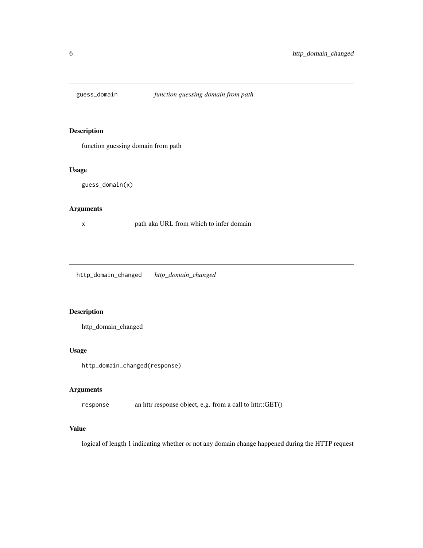<span id="page-5-0"></span>

#### Description

function guessing domain from path

#### Usage

guess\_domain(x)

#### Arguments

x path aka URL from which to infer domain

http\_domain\_changed *http\_domain\_changed*

#### Description

http\_domain\_changed

#### Usage

http\_domain\_changed(response)

#### Arguments

response an httr response object, e.g. from a call to httr::GET()

#### Value

logical of length 1 indicating whether or not any domain change happened during the HTTP request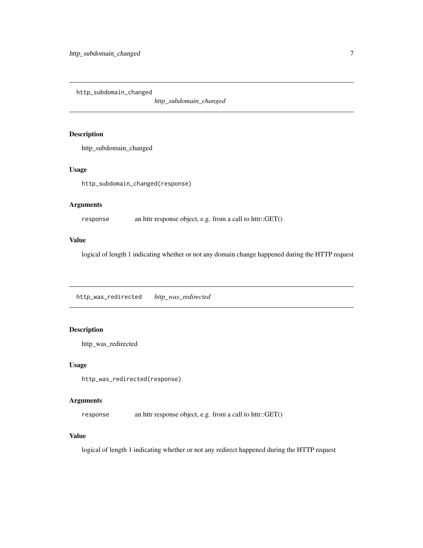<span id="page-6-0"></span>http\_subdomain\_changed

*http\_subdomain\_changed*

#### Description

http\_subdomain\_changed

#### Usage

http\_subdomain\_changed(response)

#### Arguments

response an httr response object, e.g. from a call to httr::GET()

#### Value

logical of length 1 indicating whether or not any domain change happened during the HTTP request

http\_was\_redirected *http\_was\_redirected*

#### Description

```
http_was_redirected
```
#### Usage

http\_was\_redirected(response)

#### Arguments

response an httr response object, e.g. from a call to httr::GET()

#### Value

logical of length 1 indicating whether or not any redirect happened during the HTTP request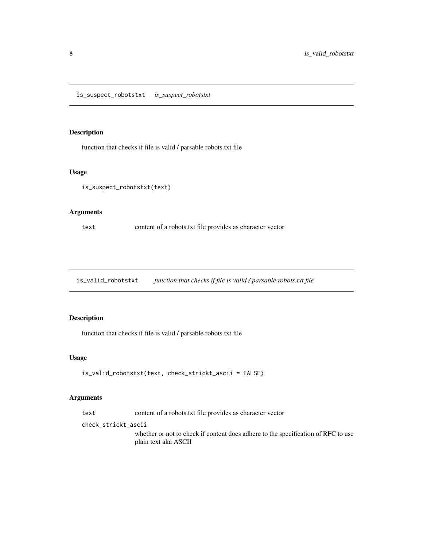<span id="page-7-0"></span>is\_suspect\_robotstxt *is\_suspect\_robotstxt*

#### Description

function that checks if file is valid / parsable robots.txt file

#### Usage

```
is_suspect_robotstxt(text)
```
#### Arguments

text content of a robots.txt file provides as character vector

is\_valid\_robotstxt *function that checks if file is valid / parsable robots.txt file*

#### Description

function that checks if file is valid / parsable robots.txt file

#### Usage

```
is_valid_robotstxt(text, check_strickt_ascii = FALSE)
```
#### Arguments

text content of a robots.txt file provides as character vector

check\_strickt\_ascii

whether or not to check if content does adhere to the specification of RFC to use plain text aka ASCII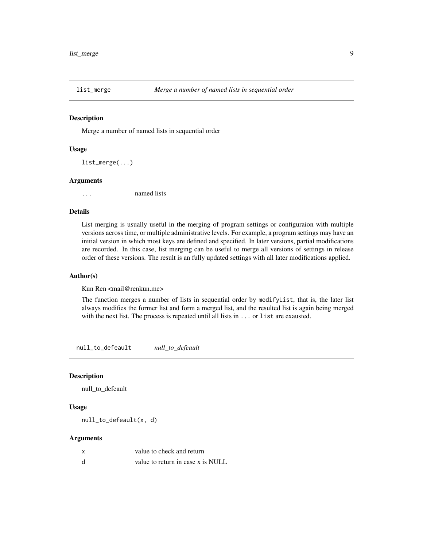<span id="page-8-0"></span>

#### Description

Merge a number of named lists in sequential order

#### Usage

list\_merge(...)

#### Arguments

... named lists

#### Details

List merging is usually useful in the merging of program settings or configuraion with multiple versions across time, or multiple administrative levels. For example, a program settings may have an initial version in which most keys are defined and specified. In later versions, partial modifications are recorded. In this case, list merging can be useful to merge all versions of settings in release order of these versions. The result is an fully updated settings with all later modifications applied.

#### Author(s)

Kun Ren <mail@renkun.me>

The function merges a number of lists in sequential order by modifyList, that is, the later list always modifies the former list and form a merged list, and the resulted list is again being merged with the next list. The process is repeated until all lists in ... or list are exausted.

null\_to\_defeault *null\_to\_defeault*

#### Description

null\_to\_defeault

#### Usage

null\_to\_defeault(x, d)

| value to check and return         |
|-----------------------------------|
| value to return in case x is NULL |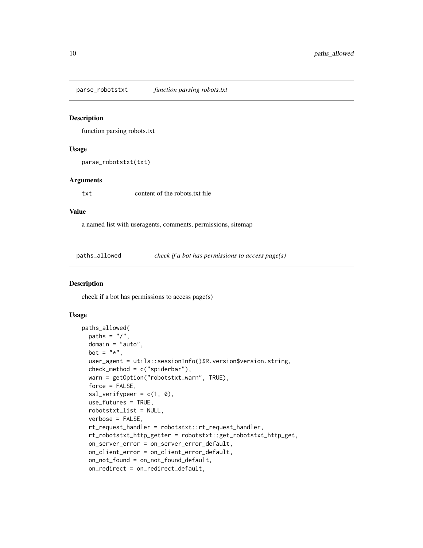<span id="page-9-0"></span>parse\_robotstxt *function parsing robots.txt*

#### Description

function parsing robots.txt

#### Usage

parse\_robotstxt(txt)

#### Arguments

txt content of the robots.txt file

#### Value

a named list with useragents, comments, permissions, sitemap

paths\_allowed *check if a bot has permissions to access page(s)*

#### Description

check if a bot has permissions to access page(s)

```
paths_allowed(
 paths = \frac{n}{n},
  domain = "auto",
 bot = "*",
 user_agent = utils::sessionInfo()$R.version$version.string,
  check_method = c("spiderbar"),warn = getOption("robotstxt_warn", TRUE),
  force = FALSE,ssl\_verifypeer = c(1, 0),use_futures = TRUE,
  robotstxt_list = NULL,
  verbose = FALSE,
  rt_request_handler = robotstxt::rt_request_handler,
  rt_robotstxt_http_getter = robotstxt::get_robotstxt_http_get,
  on_server_error = on_server_error_default,
  on_client_error = on_client_error_default,
  on_not_found = on_not_found_default,
 on_redirect = on_redirect_default,
```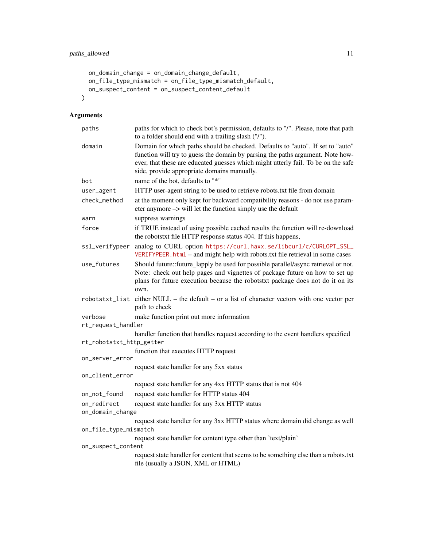```
on_domain_change = on_domain_change_default,
 on_file_type_mismatch = on_file_type_mismatch_default,
 on_suspect_content = on_suspect_content_default
\mathcal{L}
```

| paths                    | paths for which to check bot's permission, defaults to "/". Please, note that path<br>to a folder should end with a trailing slash ("/").                                                                                                                                                            |  |
|--------------------------|------------------------------------------------------------------------------------------------------------------------------------------------------------------------------------------------------------------------------------------------------------------------------------------------------|--|
| domain                   | Domain for which paths should be checked. Defaults to "auto". If set to "auto"<br>function will try to guess the domain by parsing the paths argument. Note how-<br>ever, that these are educated guesses which might utterly fail. To be on the safe<br>side, provide appropriate domains manually. |  |
| bot                      | name of the bot, defaults to "*"                                                                                                                                                                                                                                                                     |  |
| user_agent               | HTTP user-agent string to be used to retrieve robots.txt file from domain                                                                                                                                                                                                                            |  |
| check_method             | at the moment only kept for backward compatibility reasons - do not use param-<br>eter anymore -> will let the function simply use the default                                                                                                                                                       |  |
| warn                     | suppress warnings                                                                                                                                                                                                                                                                                    |  |
| force                    | if TRUE instead of using possible cached results the function will re-download<br>the robotstxt file HTTP response status 404. If this happens,                                                                                                                                                      |  |
| ssl_verifypeer           | analog to CURL option https://curl.haxx.se/libcurl/c/CURLOPT_SSL_<br>VERIFYPEER.html – and might help with robots.txt file retrieval in some cases                                                                                                                                                   |  |
| use_futures              | Should future::future_lapply be used for possible parallel/async retrieval or not.<br>Note: check out help pages and vignettes of package future on how to set up<br>plans for future execution because the robotstxt package does not do it on its<br>own.                                          |  |
|                          | robotstxt_list either NULL – the default – or a list of character vectors with one vector per<br>path to check                                                                                                                                                                                       |  |
| verbose                  | make function print out more information                                                                                                                                                                                                                                                             |  |
| rt_request_handler       |                                                                                                                                                                                                                                                                                                      |  |
|                          | handler function that handles request according to the event handlers specified                                                                                                                                                                                                                      |  |
| rt_robotstxt_http_getter |                                                                                                                                                                                                                                                                                                      |  |
|                          | function that executes HTTP request                                                                                                                                                                                                                                                                  |  |
| on_server_error          | request state handler for any 5xx status                                                                                                                                                                                                                                                             |  |
| on_client_error          |                                                                                                                                                                                                                                                                                                      |  |
|                          | request state handler for any 4xx HTTP status that is not 404                                                                                                                                                                                                                                        |  |
| on_not_found             | request state handler for HTTP status 404                                                                                                                                                                                                                                                            |  |
| on_redirect              | request state handler for any 3xx HTTP status                                                                                                                                                                                                                                                        |  |
| on_domain_change         |                                                                                                                                                                                                                                                                                                      |  |
|                          | request state handler for any 3xx HTTP status where domain did change as well                                                                                                                                                                                                                        |  |
| on_file_type_mismatch    |                                                                                                                                                                                                                                                                                                      |  |
|                          | request state handler for content type other than 'text/plain'                                                                                                                                                                                                                                       |  |
| on_suspect_content       |                                                                                                                                                                                                                                                                                                      |  |
|                          | request state handler for content that seems to be something else than a robots.txt<br>file (usually a JSON, XML or HTML)                                                                                                                                                                            |  |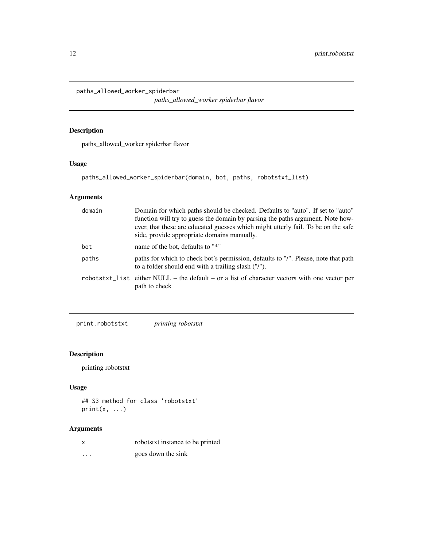<span id="page-11-0"></span>paths\_allowed\_worker\_spiderbar

*paths\_allowed\_worker spiderbar flavor*

#### Description

paths\_allowed\_worker spiderbar flavor

#### Usage

```
paths_allowed_worker_spiderbar(domain, bot, paths, robotstxt_list)
```
#### Arguments

| domain | Domain for which paths should be checked. Defaults to "auto". If set to "auto"<br>function will try to guess the domain by parsing the paths argument. Note how-<br>ever, that these are educated guesses which might utterly fail. To be on the safe<br>side, provide appropriate domains manually. |
|--------|------------------------------------------------------------------------------------------------------------------------------------------------------------------------------------------------------------------------------------------------------------------------------------------------------|
| bot    | name of the bot, defaults to "*"                                                                                                                                                                                                                                                                     |
| paths  | paths for which to check bot's permission, defaults to "/". Please, note that path<br>to a folder should end with a trailing slash ("/").                                                                                                                                                            |
|        | $robotstxt_l$ ist either NULL – the default – or a list of character vectors with one vector per<br>path to check                                                                                                                                                                                    |

print.robotstxt *printing robotstxt*

#### Description

printing robotstxt

#### Usage

```
## S3 method for class 'robotstxt'
print(x, \ldots)
```
#### Arguments

| robotstxt instance to be printed |  |
|----------------------------------|--|
|                                  |  |

... goes down the sink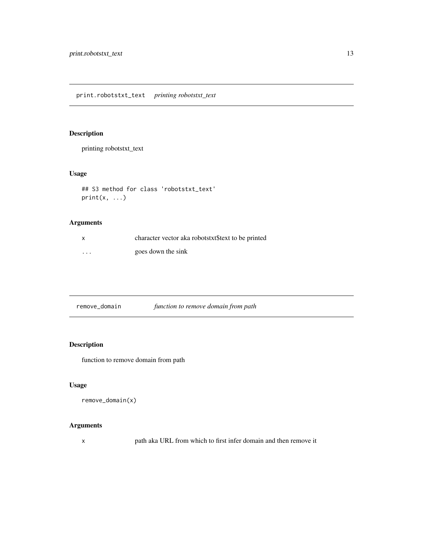<span id="page-12-0"></span>print.robotstxt\_text *printing robotstxt\_text*

#### Description

printing robotstxt\_text

#### Usage

```
## S3 method for class 'robotstxt_text'
print(x, \ldots)
```
### Arguments

| x        | character vector aka robotstxt stext to be printed |
|----------|----------------------------------------------------|
| $\cdots$ | goes down the sink                                 |

| remove_domain | function to remove domain from path |  |
|---------------|-------------------------------------|--|
|               |                                     |  |

#### Description

function to remove domain from path

#### Usage

```
remove_domain(x)
```
#### Arguments

x path aka URL from which to first infer domain and then remove it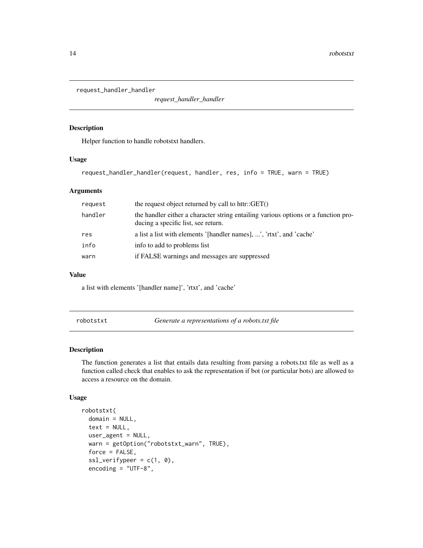<span id="page-13-0"></span>request\_handler\_handler

*request\_handler\_handler*

#### Description

Helper function to handle robotstxt handlers.

#### Usage

request\_handler\_handler(request, handler, res, info = TRUE, warn = TRUE)

#### Arguments

| request | the request object returned by call to httr:: $GET()$                                                                     |
|---------|---------------------------------------------------------------------------------------------------------------------------|
| handler | the handler either a character string entailing various options or a function pro-<br>ducing a specific list, see return. |
| res     | a list a list with elements '[handler names], ', 'rtxt', and 'cache'                                                      |
| info    | info to add to problems list                                                                                              |
| warn    | if FALSE warnings and messages are suppressed                                                                             |

#### Value

a list with elements '[handler name]', 'rtxt', and 'cache'

robotstxt *Generate a representations of a robots.txt file*

#### Description

The function generates a list that entails data resulting from parsing a robots.txt file as well as a function called check that enables to ask the representation if bot (or particular bots) are allowed to access a resource on the domain.

```
robotstxt(
 domain = NULL,
  text = NULL,user_agent = NULL,
 warn = getOption("robotstxt_warn", TRUE),
 force = FALSE,
  ssl\_verifypeer = c(1, 0),encoding = "UTF-8",
```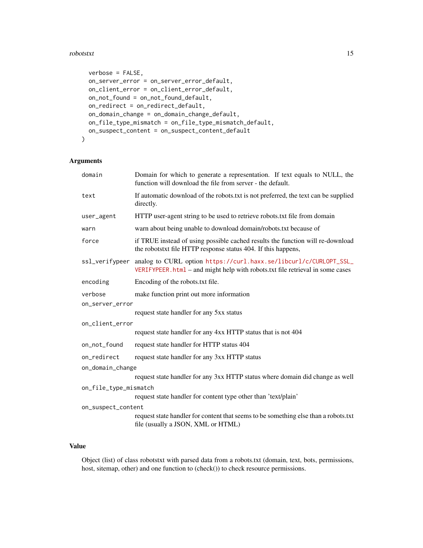#### robotstxt 15

```
verbose = FALSE,
 on_server_error = on_server_error_default,
 on_client_error = on_client_error_default,
 on_not_found = on_not_found_default,
 on_redirect = on_redirect_default,
 on_domain_change = on_domain_change_default,
 on_file_type_mismatch = on_file_type_mismatch_default,
 on_suspect_content = on_suspect_content_default
)
```
#### Arguments

| domain                | Domain for which to generate a representation. If text equals to NULL, the<br>function will download the file from server - the default.                          |  |
|-----------------------|-------------------------------------------------------------------------------------------------------------------------------------------------------------------|--|
| text                  | If automatic download of the robots.txt is not preferred, the text can be supplied<br>directly.                                                                   |  |
| user_agent            | HTTP user-agent string to be used to retrieve robots.txt file from domain                                                                                         |  |
| warn                  | warn about being unable to download domain/robots.txt because of                                                                                                  |  |
| force                 | if TRUE instead of using possible cached results the function will re-download<br>the robotstxt file HTTP response status 404. If this happens,                   |  |
|                       | ssl_verifypeer analog to CURL option https://curl.haxx.se/libcurl/c/CURLOPT_SSL_<br>VERIFYPEER.html – and might help with robots.txt file retrieval in some cases |  |
| encoding              | Encoding of the robots.txt file.                                                                                                                                  |  |
| verbose               | make function print out more information                                                                                                                          |  |
| on_server_error       |                                                                                                                                                                   |  |
|                       | request state handler for any 5xx status                                                                                                                          |  |
| on_client_error       |                                                                                                                                                                   |  |
|                       | request state handler for any 4xx HTTP status that is not 404                                                                                                     |  |
| on_not_found          | request state handler for HTTP status 404                                                                                                                         |  |
| on_redirect           | request state handler for any 3xx HTTP status                                                                                                                     |  |
| on_domain_change      |                                                                                                                                                                   |  |
|                       | request state handler for any 3xx HTTP status where domain did change as well                                                                                     |  |
| on_file_type_mismatch |                                                                                                                                                                   |  |
|                       | request state handler for content type other than 'text/plain'                                                                                                    |  |
| on_suspect_content    |                                                                                                                                                                   |  |
|                       | request state handler for content that seems to be something else than a robots.txt<br>file (usually a JSON, XML or HTML)                                         |  |

#### Value

Object (list) of class robotstxt with parsed data from a robots.txt (domain, text, bots, permissions, host, sitemap, other) and one function to (check()) to check resource permissions.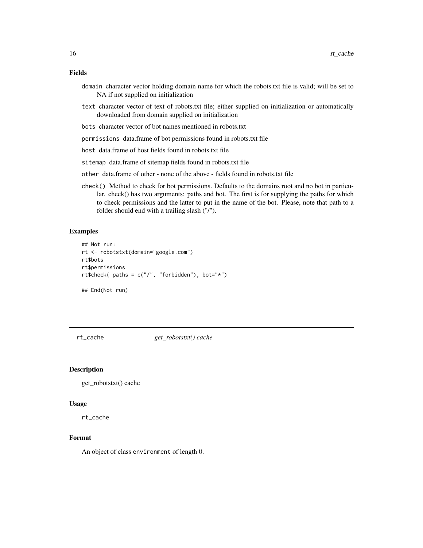#### <span id="page-15-0"></span>Fields

- domain character vector holding domain name for which the robots.txt file is valid; will be set to NA if not supplied on initialization
- text character vector of text of robots.txt file; either supplied on initialization or automatically downloaded from domain supplied on initialization
- bots character vector of bot names mentioned in robots.txt
- permissions data.frame of bot permissions found in robots.txt file
- host data.frame of host fields found in robots.txt file
- sitemap data.frame of sitemap fields found in robots.txt file
- other data.frame of other none of the above fields found in robots.txt file
- check() Method to check for bot permissions. Defaults to the domains root and no bot in particular. check() has two arguments: paths and bot. The first is for supplying the paths for which to check permissions and the latter to put in the name of the bot. Please, note that path to a folder should end with a trailing slash ("/").

#### Examples

```
## Not run:
rt <- robotstxt(domain="google.com")
rt$bots
rt$permissions
rt$check( paths = c("/", "forbidden"), bot="*")
## End(Not run)
```
rt\_cache *get\_robotstxt() cache*

#### Description

get\_robotstxt() cache

#### Usage

rt\_cache

#### Format

An object of class environment of length 0.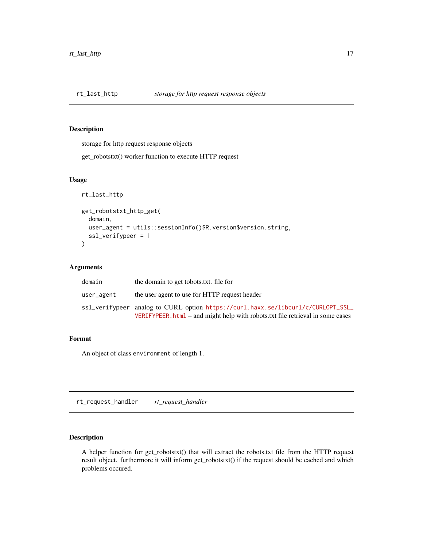<span id="page-16-0"></span>

#### Description

storage for http request response objects

get\_robotstxt() worker function to execute HTTP request

#### Usage

```
rt_last_http
get_robotstxt_http_get(
  domain,
 user_agent = utils::sessionInfo()$R.version$version.string,
  ssl_verifypeer = 1
\mathcal{L}
```
#### Arguments

| domain     | the domain to get tobots txt. file for                                                                                                                               |
|------------|----------------------------------------------------------------------------------------------------------------------------------------------------------------------|
| user_agent | the user agent to use for HTTP request header                                                                                                                        |
|            | ssl_verifypeer analog to CURL option https://curl.haxx.se/libcurl/c/CURLOPT_SSL_<br>VERIFYPEER. $html$ – and might help with robots.txt file retrieval in some cases |

#### Format

An object of class environment of length 1.

rt\_request\_handler *rt\_request\_handler*

#### Description

A helper function for get\_robotstxt() that will extract the robots.txt file from the HTTP request result object. furthermore it will inform get\_robotstxt() if the request should be cached and which problems occured.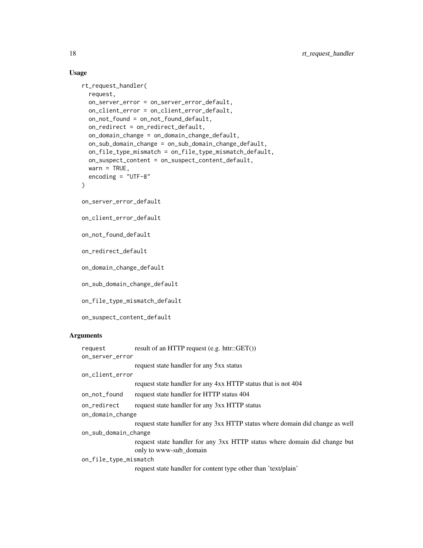```
rt_request_handler(
     request,
     on_server_error = on_server_error_default,
     on_client_error = on_client_error_default,
     on_not_found = on_not_found_default,
     on_redirect = on_redirect_default,
     on_domain_change = on_domain_change_default,
     on_sub_domain_change = on_sub_domain_change_default,
     on_file_type_mismatch = on_file_type_mismatch_default,
     on_suspect_content = on_suspect_content_default,
     warn = TRUE,
     encoding = "UTF-8"
   \mathcal{L}on_server_error_default
   on_client_error_default
   on_not_found_default
   on_redirect_default
   on_domain_change_default
   on_sub_domain_change_default
   on_file_type_mismatch_default
   on_suspect_content_default
Arguments
```

|                       | request      | result of an HTTP request $(e.g. \text{ http://GET())$                                              |
|-----------------------|--------------|-----------------------------------------------------------------------------------------------------|
| on_server_error       |              |                                                                                                     |
|                       |              | request state handler for any 5xx status                                                            |
| on_client_error       |              |                                                                                                     |
|                       |              | request state handler for any 4xx HTTP status that is not 404                                       |
|                       | on_not_found | request state handler for HTTP status 404                                                           |
|                       | on redirect  | request state handler for any 3xx HTTP status                                                       |
| on_domain_change      |              |                                                                                                     |
|                       |              | request state handler for any 3xx HTTP status where domain did change as well                       |
| on_sub_domain_change  |              |                                                                                                     |
|                       |              | request state handler for any 3xx HTTP status where domain did change but<br>only to www-sub_domain |
| on_file_type_mismatch |              |                                                                                                     |
|                       |              | request state handler for content type other than 'text/plain'                                      |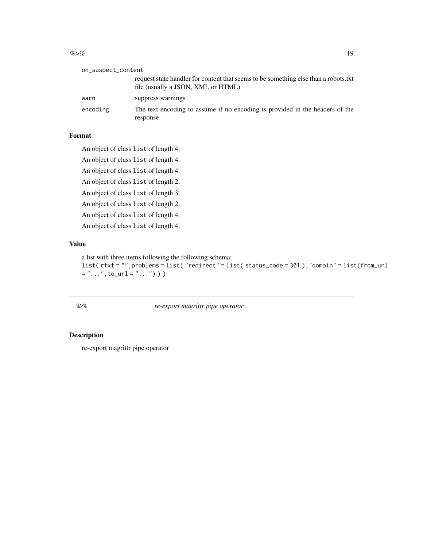#### <span id="page-18-0"></span> $\%$  >% 19

| on_suspect_content |  |
|--------------------|--|
|--------------------|--|

|          | request state handler for content that seems to be something else than a robots.txt<br>file (usually a JSON, XML or HTML) |
|----------|---------------------------------------------------------------------------------------------------------------------------|
| warn     | suppress warnings                                                                                                         |
| encoding | The text encoding to assume if no encoding is provided in the headers of the                                              |
|          | response                                                                                                                  |

#### Format

An object of class list of length 4.

An object of class list of length 4.

An object of class list of length 4.

An object of class list of length 2.

An object of class list of length 3.

An object of class list of length 2.

An object of class list of length 4.

An object of class list of length 4.

### Value

a list with three items following the following schema:

```
list( rtxt = "",problems = list( "redirect" = list( status_code = 301 ),"domain" = list(from_url
= "...", to_url = "...") ) )
```
%>% *re-export magrittr pipe operator*

#### Description

re-export magrittr pipe operator